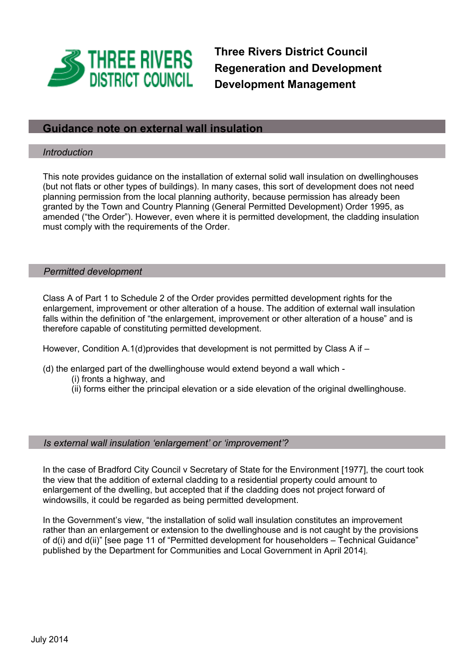

**Three Rivers District Council Regeneration and Development Development Management** 

# **Guidance note on external wall insulation**

### *Introduction*

This note provides guidance on the installation of external solid wall insulation on dwellinghouses (but not flats or other types of buildings). In many cases, this sort of development does not need planning permission from the local planning authority, because permission has already been granted by the Town and Country Planning (General Permitted Development) Order 1995, as amended ("the Order"). However, even where it is permitted development, the cladding insulation must comply with the requirements of the Order.

#### *Permitted development*

Class A of Part 1 to Schedule 2 of the Order provides permitted development rights for the enlargement, improvement or other alteration of a house. The addition of external wall insulation falls within the definition of "the enlargement, improvement or other alteration of a house" and is therefore capable of constituting permitted development.

However, Condition A.1(d)provides that development is not permitted by Class A if  $-$ 

- (d) the enlarged part of the dwellinghouse would extend beyond a wall which
	- (i) fronts a highway, and
	- (ii) forms either the principal elevation or a side elevation of the original dwellinghouse.

### *Is external wall insulation 'enlargement' or 'improvement'?*

In the case of Bradford City Council v Secretary of State for the Environment [1977], the court took the view that the addition of external cladding to a residential property could amount to enlargement of the dwelling, but accepted that if the cladding does not project forward of windowsills, it could be regarded as being permitted development.

In the Government's view, "the installation of solid wall insulation constitutes an improvement rather than an enlargement or extension to the dwellinghouse and is not caught by the provisions of d(i) and d(ii)" [see page 11 of "Permitted development for householders – Technical Guidance" published by the Department for Communities and Local Government in April 2014].